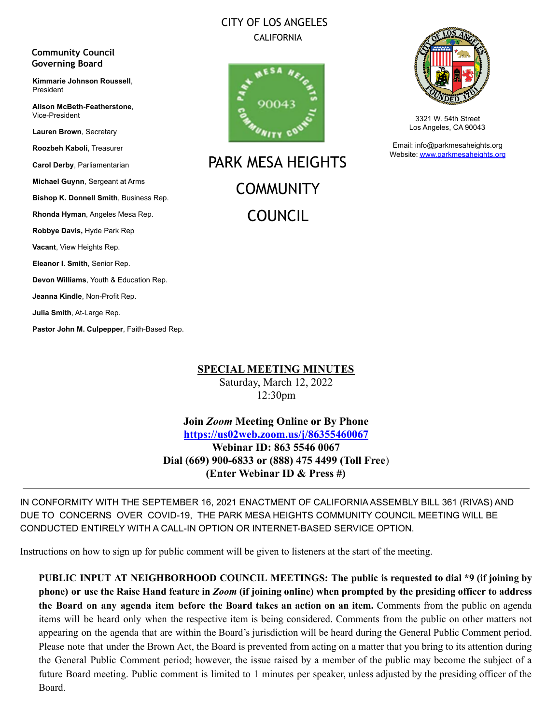## CITY OF LOS ANGELES CALIFORNIA

#### **Community Council Governing Board**

**Kimmarie Johnson Roussell**, President

**Alison McBeth-Featherstone**, Vice-President

**Lauren Brown**, Secretary

**Roozbeh Kaboli**, Treasurer

**Carol Derby**, Parliamentarian

**Michael Guynn**, Sergeant at Arms

**Bishop K. Donnell Smith**, Business Rep.

**Rhonda Hyman**, Angeles Mesa Rep.

**Robbye Davis,** Hyde Park Rep

**Vacant**, View Heights Rep.

**Eleanor I. Smith**, Senior Rep.

**Devon Williams**, Youth & Education Rep.

**Jeanna Kindle**, Non-Profit Rep.

**Julia Smith**, At-Large Rep.

**Pastor John M. Culpepper**, Faith-Based Rep.



PARK MESA HEIGHTS **COMMUNITY** COUNCIL



3321 W. 54th Street Los Angeles, CA 90043

Email: info@parkmesaheights.org Website: [www.parkmesaheights.org](http://www.parkmesaheights.org)

**SPECIAL MEETING MINUTES** Saturday, March 12, 2022 12:30pm

**Join** *Zoom* **Meeting Online or By Phone <https://us02web.zoom.us/j/86355460067> Webinar ID: 863 5546 0067 Dial (669) 900-6833 or (888) 475 4499 (Toll Free**) **(Enter Webinar ID & Press #)**

IN CONFORMITY WITH THE SEPTEMBER 16, 2021 ENACTMENT OF CALIFORNIA ASSEMBLY BILL 361 (RIVAS) AND DUE TO CONCERNS OVER COVID-19, THE PARK MESA HEIGHTS COMMUNITY COUNCIL MEETING WILL BE CONDUCTED ENTIRELY WITH A CALL-IN OPTION OR INTERNET-BASED SERVICE OPTION.

Instructions on how to sign up for public comment will be given to listeners at the start of the meeting.

**PUBLIC INPUT AT NEIGHBORHOOD COUNCIL MEETINGS: The public is requested to dial \*9 (if joining by** phone) or use the Raise Hand feature in Zoom (if joining online) when prompted by the presiding officer to address **the Board on any agenda item before the Board takes an action on an item.** Comments from the public on agenda items will be heard only when the respective item is being considered. Comments from the public on other matters not appearing on the agenda that are within the Board's jurisdiction will be heard during the General Public Comment period. Please note that under the Brown Act, the Board is prevented from acting on a matter that you bring to its attention during the General Public Comment period; however, the issue raised by a member of the public may become the subject of a future Board meeting. Public comment is limited to 1 minutes per speaker, unless adjusted by the presiding officer of the Board.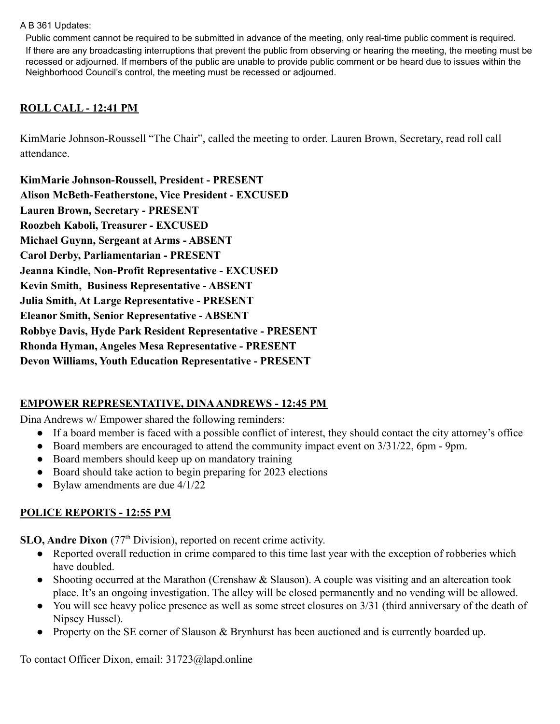#### A B 361 Updates:

Public comment cannot be required to be submitted in advance of the meeting, only real-time public comment is required. If there are any broadcasting interruptions that prevent the public from observing or hearing the meeting, the meeting must be recessed or adjourned. If members of the public are unable to provide public comment or be heard due to issues within the Neighborhood Council's control, the meeting must be recessed or adjourned.

### **ROLL CALL - 12:41 PM**

KimMarie Johnson-Roussell "The Chair", called the meeting to order. Lauren Brown, Secretary, read roll call attendance.

| KimMarie Johnson-Roussell, President - PRESENT                   |
|------------------------------------------------------------------|
| <b>Alison McBeth-Featherstone, Vice President - EXCUSED</b>      |
| <b>Lauren Brown, Secretary - PRESENT</b>                         |
| Roozbeh Kaboli, Treasurer - EXCUSED                              |
| Michael Guynn, Sergeant at Arms - ABSENT                         |
| Carol Derby, Parliamentarian - PRESENT                           |
| Jeanna Kindle, Non-Profit Representative - EXCUSED               |
| <b>Kevin Smith, Business Representative - ABSENT</b>             |
| Julia Smith, At Large Representative - PRESENT                   |
| <b>Eleanor Smith, Senior Representative - ABSENT</b>             |
| <b>Robbye Davis, Hyde Park Resident Representative - PRESENT</b> |
| Rhonda Hyman, Angeles Mesa Representative - PRESENT              |
| <b>Devon Williams, Youth Education Representative - PRESENT</b>  |

#### **EMPOWER REPRESENTATIVE, DINAANDREWS - 12:45 PM**

Dina Andrews w/ Empower shared the following reminders:

- If a board member is faced with a possible conflict of interest, they should contact the city attorney's office
- Board members are encouraged to attend the community impact event on 3/31/22, 6pm 9pm.
- Board members should keep up on mandatory training
- Board should take action to begin preparing for 2023 elections
- Bylaw amendments are due  $4/1/22$

#### **POLICE REPORTS - 12:55 PM**

**SLO, Andre Dixon** (77<sup>th</sup> Division), reported on recent crime activity.

- Reported overall reduction in crime compared to this time last year with the exception of robberies which have doubled.
- Shooting occurred at the Marathon (Crenshaw  $\&$  Slauson). A couple was visiting and an altercation took place. It's an ongoing investigation. The alley will be closed permanently and no vending will be allowed.
- You will see heavy police presence as well as some street closures on 3/31 (third anniversary of the death of Nipsey Hussel).
- Property on the SE corner of Slauson & Brynhurst has been auctioned and is currently boarded up.

To contact Officer Dixon, email: 31723@lapd.online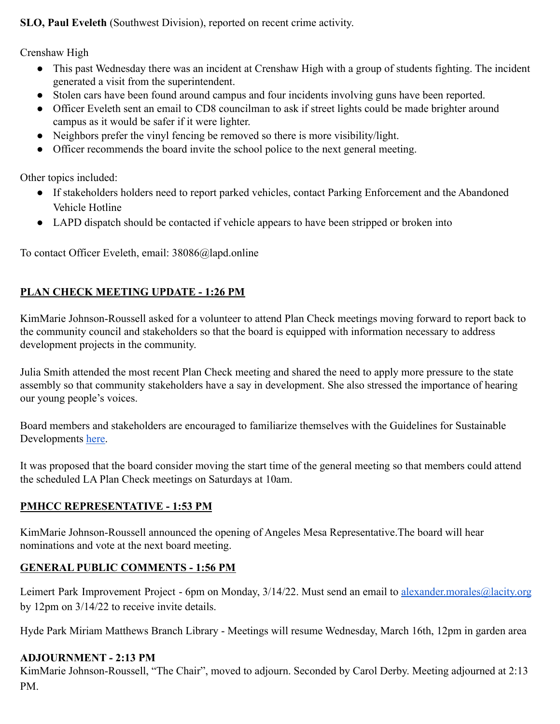**SLO, Paul Eveleth** (Southwest Division), reported on recent crime activity.

Crenshaw High

- This past Wednesday there was an incident at Crenshaw High with a group of students fighting. The incident generated a visit from the superintendent.
- Stolen cars have been found around campus and four incidents involving guns have been reported.
- Officer Eveleth sent an email to CD8 councilman to ask if street lights could be made brighter around campus as it would be safer if it were lighter.
- Neighbors prefer the vinyl fencing be removed so there is more visibility/light.
- Officer recommends the board invite the school police to the next general meeting.

Other topics included:

- If stakeholders holders need to report parked vehicles, contact Parking Enforcement and the Abandoned Vehicle Hotline
- LAPD dispatch should be contacted if vehicle appears to have been stripped or broken into

To contact Officer Eveleth, email: 38086@lapd.online

#### **PLAN CHECK MEETING UPDATE - 1:26 PM**

KimMarie Johnson-Roussell asked for a volunteer to attend Plan Check meetings moving forward to report back to the community council and stakeholders so that the board is equipped with information necessary to address development projects in the community.

Julia Smith attended the most recent Plan Check meeting and shared the need to apply more pressure to the state assembly so that community stakeholders have a say in development. She also stressed the importance of hearing our young people's voices.

Board members and stakeholders are encouraged to familiarize themselves with the Guidelines for Sustainable Developments [here.](https://docs.google.com/document/u/0/d/1ksVoYfsE0GJ0_3VqaD9F19Vmev-_rUDARIaCMMnrWzA/mobilebasic)

It was proposed that the board consider moving the start time of the general meeting so that members could attend the scheduled LA Plan Check meetings on Saturdays at 10am.

#### **PMHCC REPRESENTATIVE - 1:53 PM**

KimMarie Johnson-Roussell announced the opening of Angeles Mesa Representative.The board will hear nominations and vote at the next board meeting.

#### **GENERAL PUBLIC COMMENTS - 1:56 PM**

Leimert Park Improvement Project - 6pm on Monday, 3/14/22. Must send an email to [alexander.morales@lacity.org](mailto:alexander.morales@lacity.org) by 12pm on 3/14/22 to receive invite details.

Hyde Park Miriam Matthews Branch Library - Meetings will resume Wednesday, March 16th, 12pm in garden area

#### **ADJOURNMENT - 2:13 PM**

KimMarie Johnson-Roussell, "The Chair", moved to adjourn. Seconded by Carol Derby. Meeting adjourned at 2:13 PM.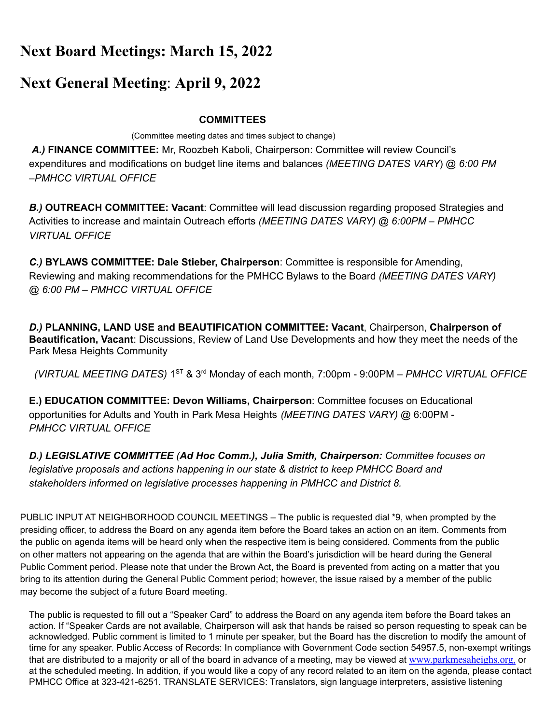# **Next Board Meetings: March 15, 2022**

## **Next General Meeting**: **April 9, 2022**

#### **COMMITTEES**

(Committee meeting dates and times subject to change)

*A.)* **FINANCE COMMITTEE:** Mr, Roozbeh Kaboli, Chairperson: Committee will review Council's expenditures and modifications on budget line items and balances *(MEETING DATES VARY*) @ *6:00 PM –PMHCC VIRTUAL OFFICE*

*B.)* **OUTREACH COMMITTEE: Vacant**: Committee will lead discussion regarding proposed Strategies and Activities to increase and maintain Outreach efforts *(MEETING DATES VARY) @ 6:00PM – PMHCC VIRTUAL OFFICE*

*C.)* **BYLAWS COMMITTEE: Dale Stieber, Chairperson**: Committee is responsible for Amending, Reviewing and making recommendations for the PMHCC Bylaws to the Board *(MEETING DATES VARY) @ 6:00 PM – PMHCC VIRTUAL OFFICE*

*D.)* **PLANNING, LAND USE and BEAUTIFICATION COMMITTEE: Vacant**, Chairperson, **Chairperson of Beautification, Vacant**: Discussions, Review of Land Use Developments and how they meet the needs of the Park Mesa Heights Community

*(VIRTUAL MEETING DATES)* 1 ST & 3 rd Monday of each month, 7:00pm - 9:00PM *– PMHCC VIRTUAL OFFICE*

**E.) EDUCATION COMMITTEE: Devon Williams, Chairperson**: Committee focuses on Educational opportunities for Adults and Youth in Park Mesa Heights *(MEETING DATES VARY)* @ 6:00PM - *PMHCC VIRTUAL OFFICE*

*D.) LEGISLATIVE COMMITTEE (Ad Hoc Comm.), Julia Smith, Chairperson: Committee focuses on legislative proposals and actions happening in our state & district to keep PMHCC Board and stakeholders informed on legislative processes happening in PMHCC and District 8.*

PUBLIC INPUT AT NEIGHBORHOOD COUNCIL MEETINGS – The public is requested dial \*9, when prompted by the presiding officer, to address the Board on any agenda item before the Board takes an action on an item. Comments from the public on agenda items will be heard only when the respective item is being considered. Comments from the public on other matters not appearing on the agenda that are within the Board's jurisdiction will be heard during the General Public Comment period. Please note that under the Brown Act, the Board is prevented from acting on a matter that you bring to its attention during the General Public Comment period; however, the issue raised by a member of the public may become the subject of a future Board meeting.

The public is requested to fill out a "Speaker Card" to address the Board on any agenda item before the Board takes an action. If "Speaker Cards are not available, Chairperson will ask that hands be raised so person requesting to speak can be acknowledged. Public comment is limited to 1 minute per speaker, but the Board has the discretion to modify the amount of time for any speaker. Public Access of Records: In compliance with Government Code section 54957.5, non-exempt writings that are distributed to a majority or all of the board in advance of a meeting, may be viewed at [www.parkmesaheighs.org,](http://www.parkmesaheights.org/) or at the scheduled meeting. In addition, if you would like a copy of any record related to an item on the agenda, please contact PMHCC Office at 323-421-6251. TRANSLATE SERVICES: Translators, sign language interpreters, assistive listening